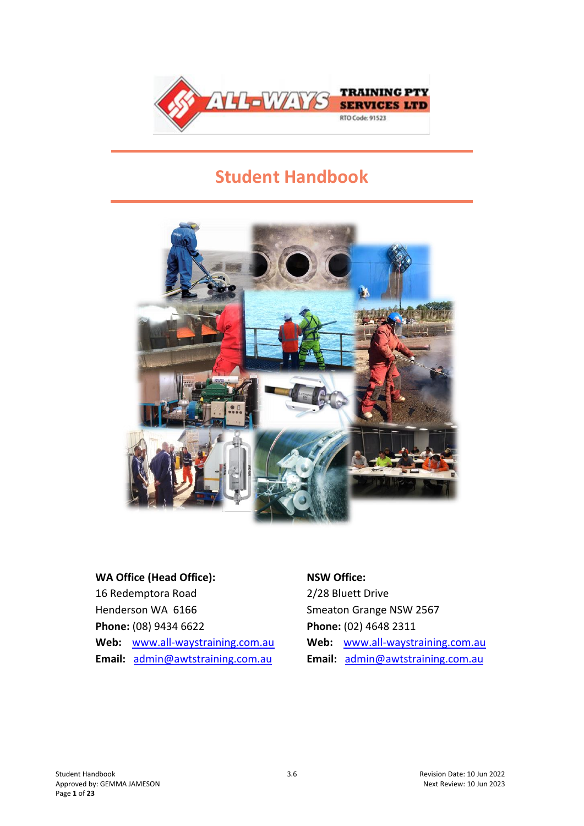

# **Student Handbook**



# **WA Office (Head Office):**

16 Redemptora Road Henderson WA 6166 **Phone:** (08) 9434 6622 **Web:** [www.all-waystraining.com.au](http://www.allwaystraining.com.au/) **Email:** [admin@awtstraining.com.au](mailto:admin@awtstraining.com.au)

#### **NSW Office:**

2/28 Bluett Drive Smeaton Grange NSW 2567 **Phone:** (02) 4648 2311 **Web:** [www.all-waystraining.com.au](http://www.allwaystraining.com.au/) **Email:** [admin@awtstraining.com.au](mailto:admin@awtstraining.com.au)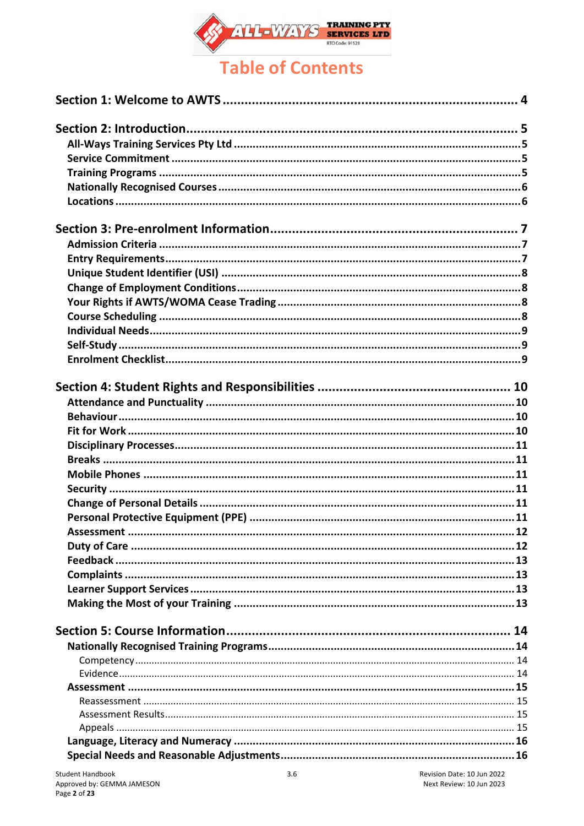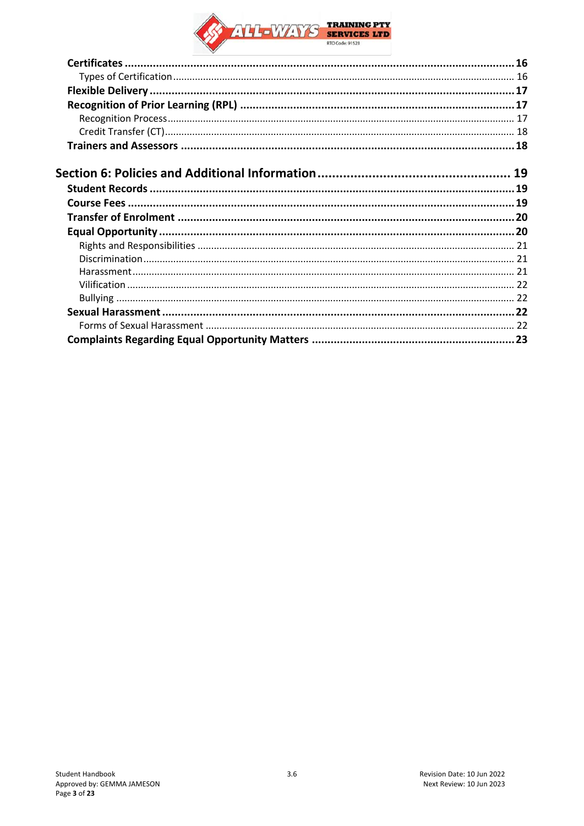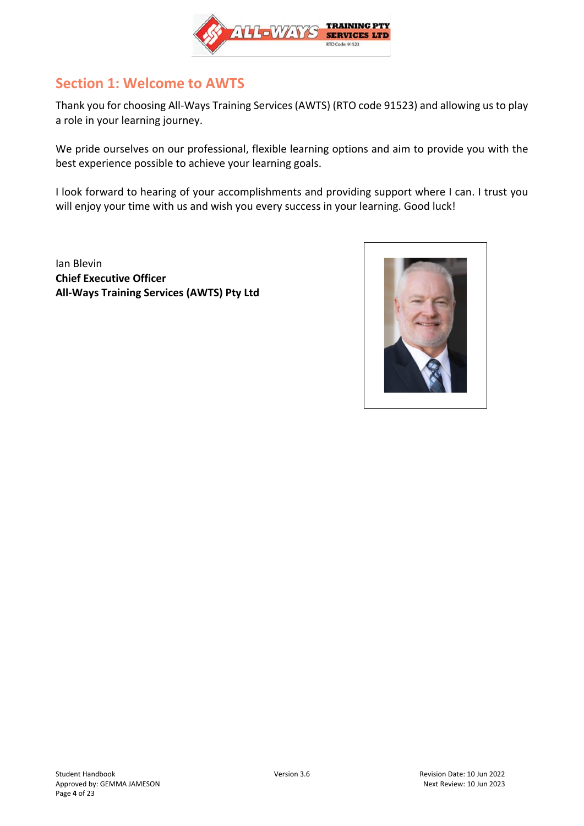

## <span id="page-3-0"></span>**Section 1: Welcome to AWTS**

Thank you for choosing All-Ways Training Services (AWTS) (RTO code 91523) and allowing us to play a role in your learning journey.

We pride ourselves on our professional, flexible learning options and aim to provide you with the best experience possible to achieve your learning goals.

I look forward to hearing of your accomplishments and providing support where I can. I trust you will enjoy your time with us and wish you every success in your learning. Good luck!

Ian Blevin **Chief Executive Officer All-Ways Training Services (AWTS) Pty Ltd**

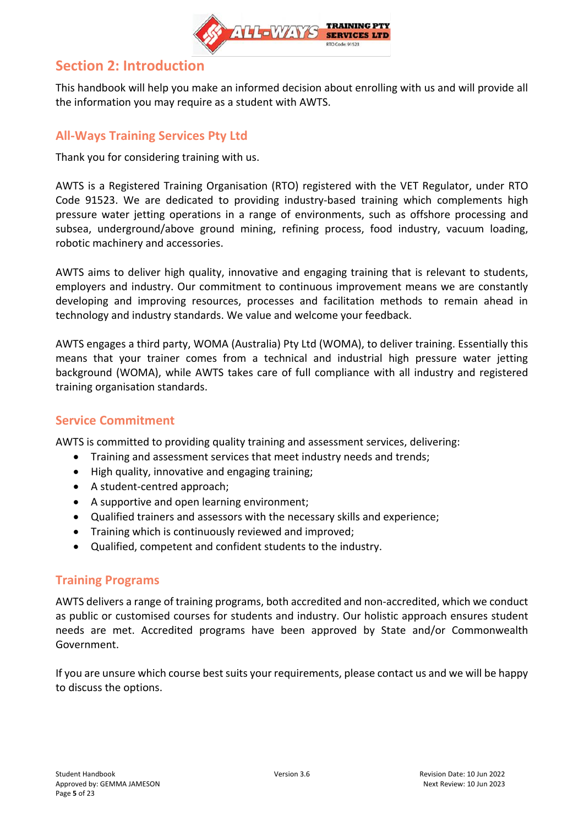

## <span id="page-4-0"></span>**Section 2: Introduction**

This handbook will help you make an informed decision about enrolling with us and will provide all the information you may require as a student with AWTS.

## <span id="page-4-1"></span>**All-Ways Training Services Pty Ltd**

Thank you for considering training with us.

AWTS is a Registered Training Organisation (RTO) registered with the VET Regulator, under RTO Code 91523. We are dedicated to providing industry-based training which complements high pressure water jetting operations in a range of environments, such as offshore processing and subsea, underground/above ground mining, refining process, food industry, vacuum loading, robotic machinery and accessories.

AWTS aims to deliver high quality, innovative and engaging training that is relevant to students, employers and industry. Our commitment to continuous improvement means we are constantly developing and improving resources, processes and facilitation methods to remain ahead in technology and industry standards. We value and welcome your feedback.

AWTS engages a third party, WOMA (Australia) Pty Ltd (WOMA), to deliver training. Essentially this means that your trainer comes from a technical and industrial high pressure water jetting background (WOMA), while AWTS takes care of full compliance with all industry and registered training organisation standards.

### <span id="page-4-2"></span>**Service Commitment**

AWTS is committed to providing quality training and assessment services, delivering:

- Training and assessment services that meet industry needs and trends;
- High quality, innovative and engaging training;
- A student-centred approach;
- A supportive and open learning environment;
- Qualified trainers and assessors with the necessary skills and experience;
- Training which is continuously reviewed and improved;
- Qualified, competent and confident students to the industry.

### <span id="page-4-3"></span>**Training Programs**

AWTS delivers a range of training programs, both accredited and non-accredited, which we conduct as public or customised courses for students and industry. Our holistic approach ensures student needs are met. Accredited programs have been approved by State and/or Commonwealth Government.

If you are unsure which course best suits your requirements, please contact us and we will be happy to discuss the options.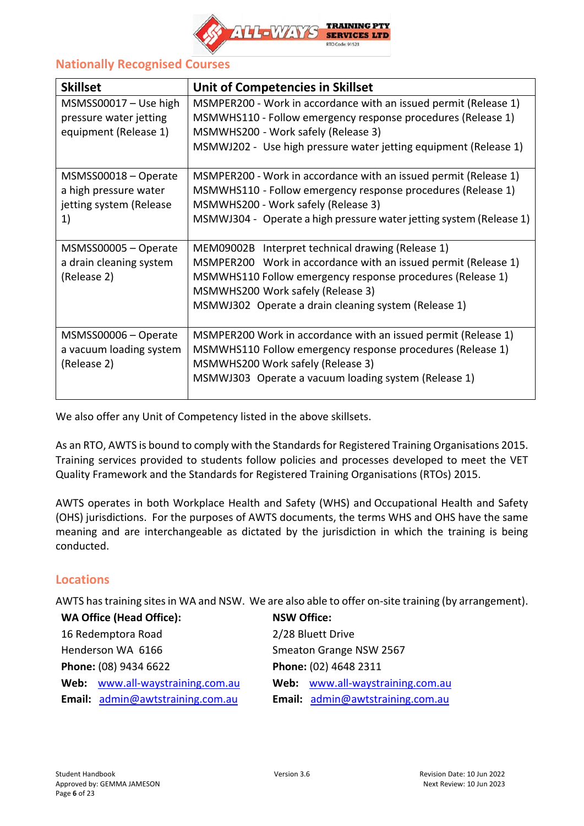

## <span id="page-5-0"></span>**Nationally Recognised Courses**

| <b>Skillset</b>                                                                | Unit of Competencies in Skillset                                                                                                                                                                                                                                               |
|--------------------------------------------------------------------------------|--------------------------------------------------------------------------------------------------------------------------------------------------------------------------------------------------------------------------------------------------------------------------------|
| $MSMSS00017 - Use high$<br>pressure water jetting<br>equipment (Release 1)     | MSMPER200 - Work in accordance with an issued permit (Release 1)<br>MSMWHS110 - Follow emergency response procedures (Release 1)<br>MSMWHS200 - Work safely (Release 3)<br>MSMWJ202 - Use high pressure water jetting equipment (Release 1)                                    |
| MSMSS00018 - Operate<br>a high pressure water<br>jetting system (Release<br>1) | MSMPER200 - Work in accordance with an issued permit (Release 1)<br>MSMWHS110 - Follow emergency response procedures (Release 1)<br>MSMWHS200 - Work safely (Release 3)<br>MSMWJ304 - Operate a high pressure water jetting system (Release 1)                                 |
| MSMSS00005 - Operate<br>a drain cleaning system<br>(Release 2)                 | MEM09002B Interpret technical drawing (Release 1)<br>MSMPER200 Work in accordance with an issued permit (Release 1)<br>MSMWHS110 Follow emergency response procedures (Release 1)<br>MSMWHS200 Work safely (Release 3)<br>MSMWJ302 Operate a drain cleaning system (Release 1) |
| MSMSS00006 - Operate<br>a vacuum loading system<br>(Release 2)                 | MSMPER200 Work in accordance with an issued permit (Release 1)<br>MSMWHS110 Follow emergency response procedures (Release 1)<br>MSMWHS200 Work safely (Release 3)<br>MSMWJ303 Operate a vacuum loading system (Release 1)                                                      |

We also offer any Unit of Competency listed in the above skillsets.

As an RTO, AWTS is bound to comply with the Standards for Registered Training Organisations 2015. Training services provided to students follow policies and processes developed to meet the VET Quality Framework and the Standards for Registered Training Organisations (RTOs) 2015.

AWTS operates in both Workplace Health and Safety (WHS) and Occupational Health and Safety (OHS) jurisdictions. For the purposes of AWTS documents, the terms WHS and OHS have the same meaning and are interchangeable as dictated by the jurisdiction in which the training is being conducted.

### <span id="page-5-1"></span>**Locations**

AWTS has training sites in WA and NSW. We are also able to offer on-site training (by arrangement).

| <b>WA Office (Head Office):</b>  | <b>NSW Office:</b>               |
|----------------------------------|----------------------------------|
| 16 Redemptora Road               | 2/28 Bluett Drive                |
| Henderson WA 6166                | Smeaton Grange NSW 2567          |
| Phone: (08) 9434 6622            | Phone: (02) 4648 2311            |
| Web: www.all-waystraining.com.au | Web: www.all-waystraining.com.au |
| Email: admin@awtstraining.com.au | Email: admin@awtstraining.com.au |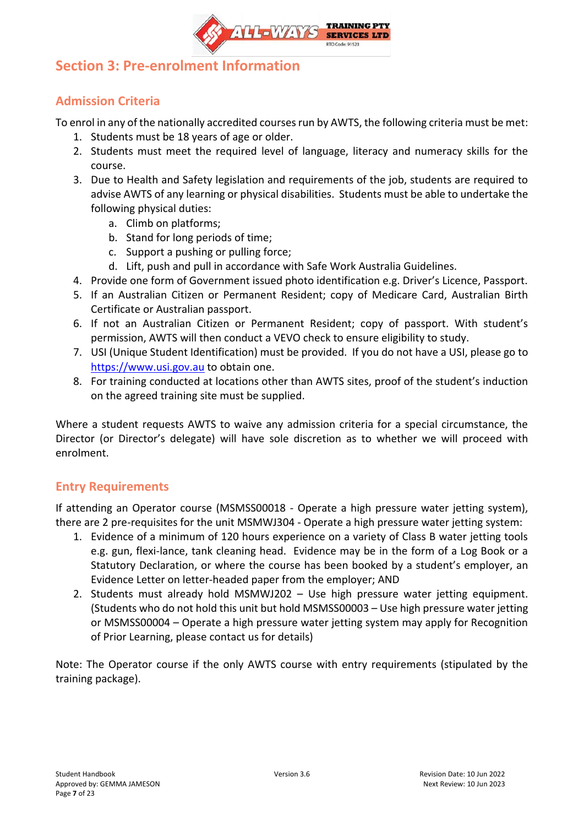

## <span id="page-6-0"></span>**Section 3: Pre-enrolment Information**

## <span id="page-6-1"></span>**Admission Criteria**

To enrol in any of the nationally accredited courses run by AWTS, the following criteria must be met:

- 1. Students must be 18 years of age or older.
- 2. Students must meet the required level of language, literacy and numeracy skills for the course.
- 3. Due to Health and Safety legislation and requirements of the job, students are required to advise AWTS of any learning or physical disabilities. Students must be able to undertake the following physical duties:
	- a. Climb on platforms;
	- b. Stand for long periods of time;
	- c. Support a pushing or pulling force;
	- d. Lift, push and pull in accordance with Safe Work Australia Guidelines.
- 4. Provide one form of Government issued photo identification e.g. Driver's Licence, Passport.
- 5. If an Australian Citizen or Permanent Resident; copy of Medicare Card, Australian Birth Certificate or Australian passport.
- 6. If not an Australian Citizen or Permanent Resident; copy of passport. With student's permission, AWTS will then conduct a VEVO check to ensure eligibility to study.
- 7. USI (Unique Student Identification) must be provided. If you do not have a USI, please go to [https://www.usi.gov.au](https://www.usi.gov.au/) to obtain one.
- 8. For training conducted at locations other than AWTS sites, proof of the student's induction on the agreed training site must be supplied.

Where a student requests AWTS to waive any admission criteria for a special circumstance, the Director (or Director's delegate) will have sole discretion as to whether we will proceed with enrolment.

## <span id="page-6-2"></span>**Entry Requirements**

If attending an Operator course (MSMSS00018 - Operate a high pressure water jetting system), there are 2 pre-requisites for the unit MSMWJ304 - Operate a high pressure water jetting system:

- 1. Evidence of a minimum of 120 hours experience on a variety of Class B water jetting tools e.g. gun, flexi-lance, tank cleaning head. Evidence may be in the form of a Log Book or a Statutory Declaration, or where the course has been booked by a student's employer, an Evidence Letter on letter-headed paper from the employer; AND
- 2. Students must already hold MSMWJ202 Use high pressure water jetting equipment. (Students who do not hold this unit but hold MSMSS00003 – Use high pressure water jetting or MSMSS00004 – Operate a high pressure water jetting system may apply for Recognition of Prior Learning, please contact us for details)

Note: The Operator course if the only AWTS course with entry requirements (stipulated by the training package).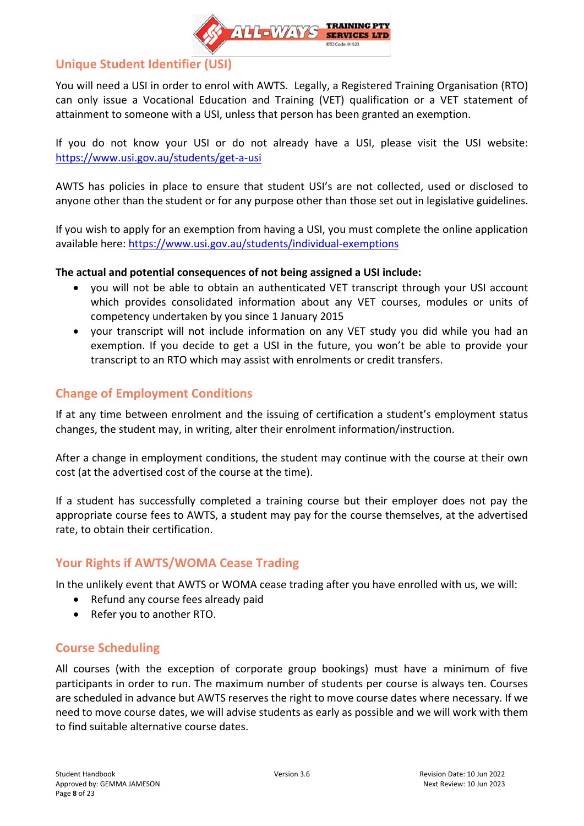

### <span id="page-7-0"></span>**Unique Student Identifier (USI)**

You will need a USI in order to enrol with AWTS. Legally, a Registered Training Organisation (RTO) can only issue a Vocational Education and Training (VET) qualification or a VET statement of attainment to someone with a USI, unless that person has been granted an exemption.

If you do not know your USI or do not already have a USI, please visit the USI website: <https://www.usi.gov.au/students/get-a-usi>

AWTS has policies in place to ensure that student USI's are not collected, used or disclosed to anyone other than the student or for any purpose other than those set out in legislative guidelines.

If you wish to apply for an exemption from having a USI, you must complete the online application available here:<https://www.usi.gov.au/students/individual-exemptions>

### **The actual and potential consequences of not being assigned a USI include:**

- you will not be able to obtain an authenticated VET transcript through your USI account which provides consolidated information about any VET courses, modules or units of competency undertaken by you since 1 January 2015
- your transcript will not include information on any VET study you did while you had an exemption. If you decide to get a USI in the future, you won't be able to provide your transcript to an RTO which may assist with enrolments or credit transfers.

## <span id="page-7-1"></span>**Change of Employment Conditions**

If at any time between enrolment and the issuing of certification a student's employment status changes, the student may, in writing, alter their enrolment information/instruction.

After a change in employment conditions, the student may continue with the course at their own cost (at the advertised cost of the course at the time).

If a student has successfully completed a training course but their employer does not pay the appropriate course fees to AWTS, a student may pay for the course themselves, at the advertised rate, to obtain their certification.

### <span id="page-7-2"></span>**Your Rights if AWTS/WOMA Cease Trading**

In the unlikely event that AWTS or WOMA cease trading after you have enrolled with us, we will:

- Refund any course fees already paid
- Refer you to another RTO.

### <span id="page-7-3"></span>**Course Scheduling**

All courses (with the exception of corporate group bookings) must have a minimum of five participants in order to run. The maximum number of students per course is always ten. Courses are scheduled in advance but AWTS reserves the right to move course dates where necessary. If we need to move course dates, we will advise students as early as possible and we will work with them to find suitable alternative course dates.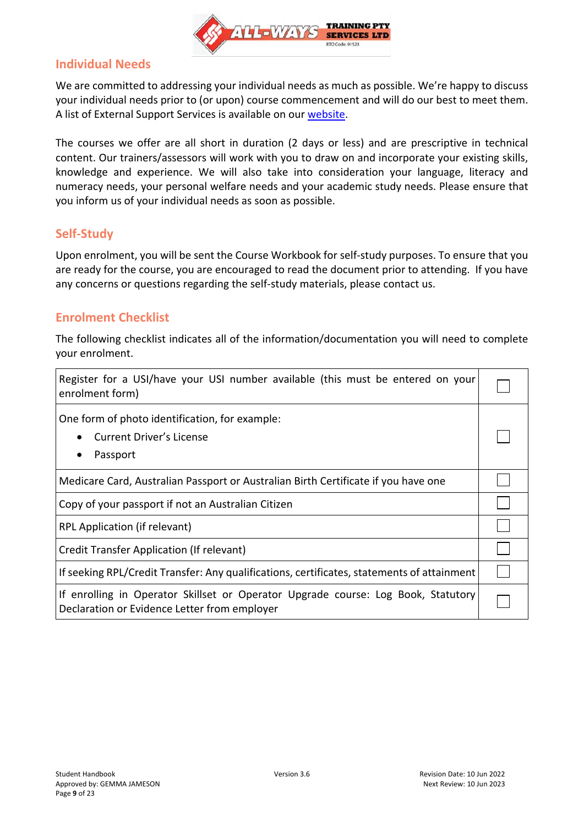

### <span id="page-8-0"></span>**Individual Needs**

We are committed to addressing your individual needs as much as possible. We're happy to discuss your individual needs prior to (or upon) course commencement and will do our best to meet them. A list of External Support Services is available on our [website.](https://www.all-waystraining.com.au/student-info/)

The courses we offer are all short in duration (2 days or less) and are prescriptive in technical content. Our trainers/assessors will work with you to draw on and incorporate your existing skills, knowledge and experience. We will also take into consideration your language, literacy and numeracy needs, your personal welfare needs and your academic study needs. Please ensure that you inform us of your individual needs as soon as possible.

### <span id="page-8-1"></span>**Self-Study**

Upon enrolment, you will be sent the Course Workbook for self-study purposes. To ensure that you are ready for the course, you are encouraged to read the document prior to attending. If you have any concerns or questions regarding the self-study materials, please contact us.

### <span id="page-8-2"></span>**Enrolment Checklist**

The following checklist indicates all of the information/documentation you will need to complete your enrolment.

| Register for a USI/have your USI number available (this must be entered on your<br>enrolment form)                                |  |
|-----------------------------------------------------------------------------------------------------------------------------------|--|
| One form of photo identification, for example:<br>Current Driver's License<br>Passport                                            |  |
| Medicare Card, Australian Passport or Australian Birth Certificate if you have one                                                |  |
| Copy of your passport if not an Australian Citizen                                                                                |  |
| RPL Application (if relevant)                                                                                                     |  |
| Credit Transfer Application (If relevant)                                                                                         |  |
| If seeking RPL/Credit Transfer: Any qualifications, certificates, statements of attainment                                        |  |
| If enrolling in Operator Skillset or Operator Upgrade course: Log Book, Statutory<br>Declaration or Evidence Letter from employer |  |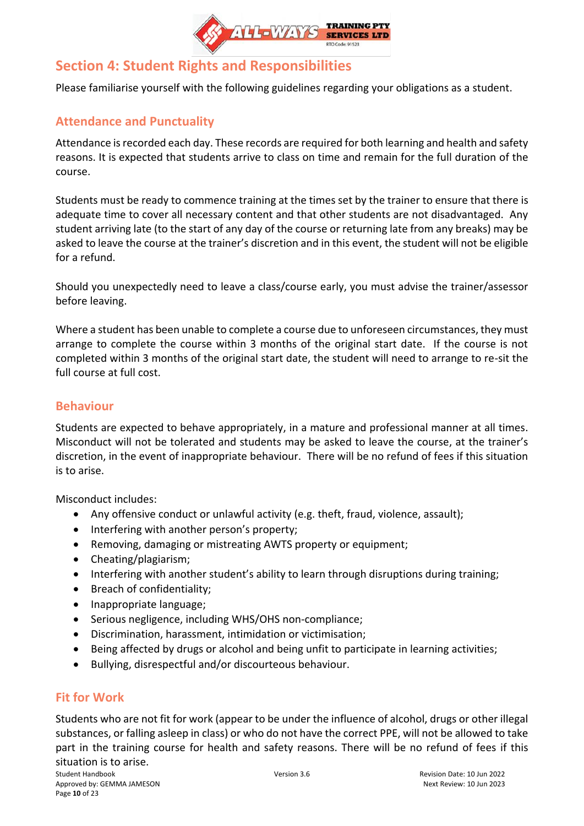

## <span id="page-9-0"></span>**Section 4: Student Rights and Responsibilities**

<span id="page-9-1"></span>Please familiarise yourself with the following guidelines regarding your obligations as a student.

## **Attendance and Punctuality**

Attendance is recorded each day. These records are required for both learning and health and safety reasons. It is expected that students arrive to class on time and remain for the full duration of the course.

Students must be ready to commence training at the times set by the trainer to ensure that there is adequate time to cover all necessary content and that other students are not disadvantaged. Any student arriving late (to the start of any day of the course or returning late from any breaks) may be asked to leave the course at the trainer's discretion and in this event, the student will not be eligible for a refund.

Should you unexpectedly need to leave a class/course early, you must advise the trainer/assessor before leaving.

Where a student has been unable to complete a course due to unforeseen circumstances, they must arrange to complete the course within 3 months of the original start date. If the course is not completed within 3 months of the original start date, the student will need to arrange to re-sit the full course at full cost.

### <span id="page-9-2"></span>**Behaviour**

Students are expected to behave appropriately, in a mature and professional manner at all times. Misconduct will not be tolerated and students may be asked to leave the course, at the trainer's discretion, in the event of inappropriate behaviour. There will be no refund of fees if this situation is to arise.

Misconduct includes:

- Any offensive conduct or unlawful activity (e.g. theft, fraud, violence, assault);
- Interfering with another person's property;
- Removing, damaging or mistreating AWTS property or equipment;
- Cheating/plagiarism;
- Interfering with another student's ability to learn through disruptions during training;
- Breach of confidentiality;
- Inappropriate language;
- Serious negligence, including WHS/OHS non-compliance;
- Discrimination, harassment, intimidation or victimisation;
- Being affected by drugs or alcohol and being unfit to participate in learning activities;
- Bullying, disrespectful and/or discourteous behaviour.

## <span id="page-9-3"></span>**Fit for Work**

Students who are not fit for work (appear to be under the influence of alcohol, drugs or other illegal substances, or falling asleep in class) or who do not have the correct PPE, will not be allowed to take part in the training course for health and safety reasons. There will be no refund of fees if this situation is to arise.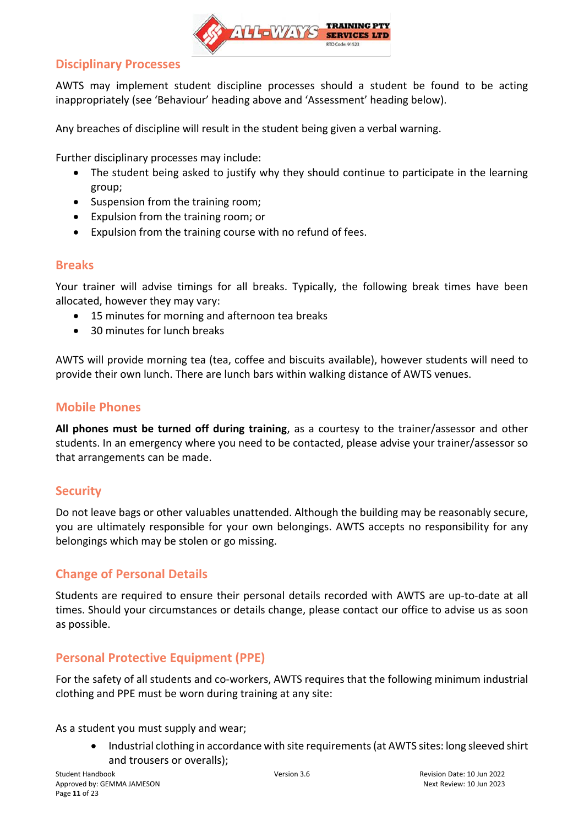

### <span id="page-10-0"></span>**Disciplinary Processes**

AWTS may implement student discipline processes should a student be found to be acting inappropriately (see 'Behaviour' heading above and 'Assessment' heading below).

Any breaches of discipline will result in the student being given a verbal warning.

Further disciplinary processes may include:

- The student being asked to justify why they should continue to participate in the learning group;
- Suspension from the training room;
- Expulsion from the training room; or
- Expulsion from the training course with no refund of fees.

### <span id="page-10-1"></span>**Breaks**

Your trainer will advise timings for all breaks. Typically, the following break times have been allocated, however they may vary:

- 15 minutes for morning and afternoon tea breaks
- 30 minutes for lunch breaks

AWTS will provide morning tea (tea, coffee and biscuits available), however students will need to provide their own lunch. There are lunch bars within walking distance of AWTS venues.

### <span id="page-10-2"></span>**Mobile Phones**

**All phones must be turned off during training**, as a courtesy to the trainer/assessor and other students. In an emergency where you need to be contacted, please advise your trainer/assessor so that arrangements can be made.

### <span id="page-10-3"></span>**Security**

Do not leave bags or other valuables unattended. Although the building may be reasonably secure, you are ultimately responsible for your own belongings. AWTS accepts no responsibility for any belongings which may be stolen or go missing.

### <span id="page-10-4"></span>**Change of Personal Details**

Students are required to ensure their personal details recorded with AWTS are up-to-date at all times. Should your circumstances or details change, please contact our office to advise us as soon as possible.

### <span id="page-10-5"></span>**Personal Protective Equipment (PPE)**

For the safety of all students and co-workers, AWTS requires that the following minimum industrial clothing and PPE must be worn during training at any site:

As a student you must supply and wear;

• Industrial clothing in accordance with site requirements (at AWTS sites: long sleeved shirt and trousers or overalls);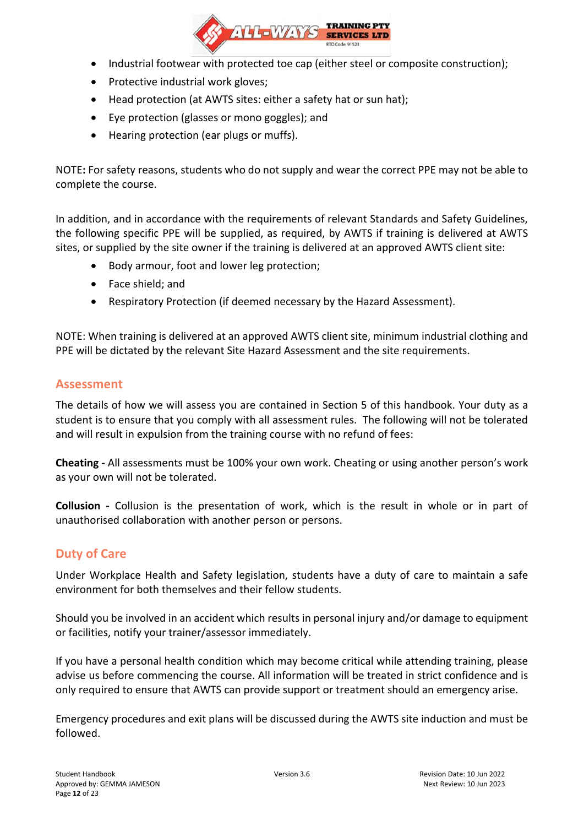

- Industrial footwear with protected toe cap (either steel or composite construction);
- Protective industrial work gloves;
- Head protection (at AWTS sites: either a safety hat or sun hat);
- Eye protection (glasses or mono goggles); and
- Hearing protection (ear plugs or muffs).

NOTE**:** For safety reasons, students who do not supply and wear the correct PPE may not be able to complete the course.

In addition, and in accordance with the requirements of relevant Standards and Safety Guidelines, the following specific PPE will be supplied, as required, by AWTS if training is delivered at AWTS sites, or supplied by the site owner if the training is delivered at an approved AWTS client site:

- Body armour, foot and lower leg protection;
- Face shield; and
- Respiratory Protection (if deemed necessary by the Hazard Assessment).

NOTE: When training is delivered at an approved AWTS client site, minimum industrial clothing and PPE will be dictated by the relevant Site Hazard Assessment and the site requirements.

### <span id="page-11-0"></span>**Assessment**

The details of how we will assess you are contained in Section 5 of this handbook. Your duty as a student is to ensure that you comply with all assessment rules. The following will not be tolerated and will result in expulsion from the training course with no refund of fees:

**Cheating -** All assessments must be 100% your own work. Cheating or using another person's work as your own will not be tolerated.

**Collusion -** Collusion is the presentation of work, which is the result in whole or in part of unauthorised collaboration with another person or persons.

### <span id="page-11-1"></span>**Duty of Care**

Under Workplace Health and Safety legislation, students have a duty of care to maintain a safe environment for both themselves and their fellow students.

Should you be involved in an accident which results in personal injury and/or damage to equipment or facilities, notify your trainer/assessor immediately.

If you have a personal health condition which may become critical while attending training, please advise us before commencing the course. All information will be treated in strict confidence and is only required to ensure that AWTS can provide support or treatment should an emergency arise.

Emergency procedures and exit plans will be discussed during the AWTS site induction and must be followed.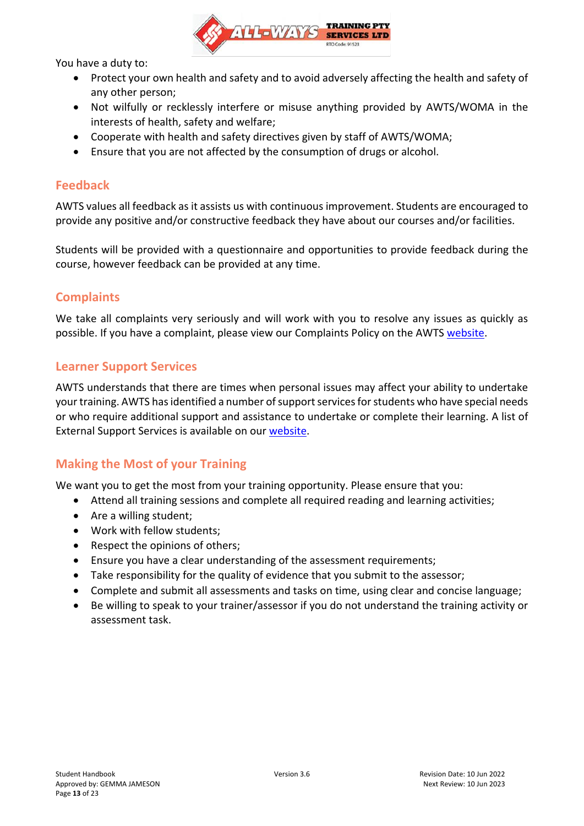

You have a duty to:

- Protect your own health and safety and to avoid adversely affecting the health and safety of any other person;
- Not wilfully or recklessly interfere or misuse anything provided by AWTS/WOMA in the interests of health, safety and welfare;
- Cooperate with health and safety directives given by staff of AWTS/WOMA;
- Ensure that you are not affected by the consumption of drugs or alcohol.

### <span id="page-12-0"></span>**Feedback**

AWTS values all feedback as it assists us with continuous improvement. Students are encouraged to provide any positive and/or constructive feedback they have about our courses and/or facilities.

Students will be provided with a questionnaire and opportunities to provide feedback during the course, however feedback can be provided at any time.

### <span id="page-12-1"></span>**Complaints**

We take all complaints very seriously and will work with you to resolve any issues as quickly as possible. If you have a complaint, please view our Complaints Policy on the AWTS [website.](https://www.all-waystraining.com.au/student-info/)

### <span id="page-12-2"></span>**Learner Support Services**

AWTS understands that there are times when personal issues may affect your ability to undertake your training. AWTS has identified a number of support services for students who have special needs or who require additional support and assistance to undertake or complete their learning. A list of External Support Services is available on our [website.](https://www.all-waystraining.com.au/student-info/)

### <span id="page-12-3"></span>**Making the Most of your Training**

We want you to get the most from your training opportunity. Please ensure that you:

- Attend all training sessions and complete all required reading and learning activities;
- Are a willing student;
- Work with fellow students;
- Respect the opinions of others;
- Ensure you have a clear understanding of the assessment requirements;
- Take responsibility for the quality of evidence that you submit to the assessor;
- Complete and submit all assessments and tasks on time, using clear and concise language;
- Be willing to speak to your trainer/assessor if you do not understand the training activity or assessment task.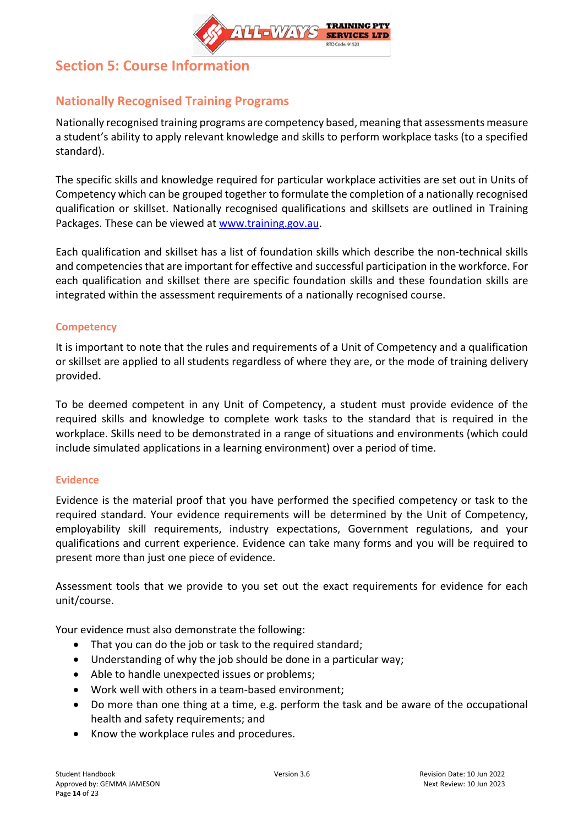

## <span id="page-13-0"></span>**Section 5: Course Information**

## <span id="page-13-1"></span>**Nationally Recognised Training Programs**

Nationally recognised training programs are competency based, meaning that assessments measure a student's ability to apply relevant knowledge and skills to perform workplace tasks (to a specified standard).

The specific skills and knowledge required for particular workplace activities are set out in Units of Competency which can be grouped together to formulate the completion of a nationally recognised qualification or skillset. Nationally recognised qualifications and skillsets are outlined in Training Packages. These can be viewed at [www.training.gov.au.](http://www.training.gov.au/)

Each qualification and skillset has a list of foundation skills which describe the non-technical skills and competencies that are important for effective and successful participation in the workforce. For each qualification and skillset there are specific foundation skills and these foundation skills are integrated within the assessment requirements of a nationally recognised course.

### <span id="page-13-2"></span>**Competency**

It is important to note that the rules and requirements of a Unit of Competency and a qualification or skillset are applied to all students regardless of where they are, or the mode of training delivery provided.

To be deemed competent in any Unit of Competency, a student must provide evidence of the required skills and knowledge to complete work tasks to the standard that is required in the workplace. Skills need to be demonstrated in a range of situations and environments (which could include simulated applications in a learning environment) over a period of time.

### <span id="page-13-3"></span>**Evidence**

Evidence is the material proof that you have performed the specified competency or task to the required standard. Your evidence requirements will be determined by the Unit of Competency, employability skill requirements, industry expectations, Government regulations, and your qualifications and current experience. Evidence can take many forms and you will be required to present more than just one piece of evidence.

Assessment tools that we provide to you set out the exact requirements for evidence for each unit/course.

Your evidence must also demonstrate the following:

- That you can do the job or task to the required standard;
- Understanding of why the job should be done in a particular way;
- Able to handle unexpected issues or problems;
- Work well with others in a team-based environment;
- Do more than one thing at a time, e.g. perform the task and be aware of the occupational health and safety requirements; and
- Know the workplace rules and procedures.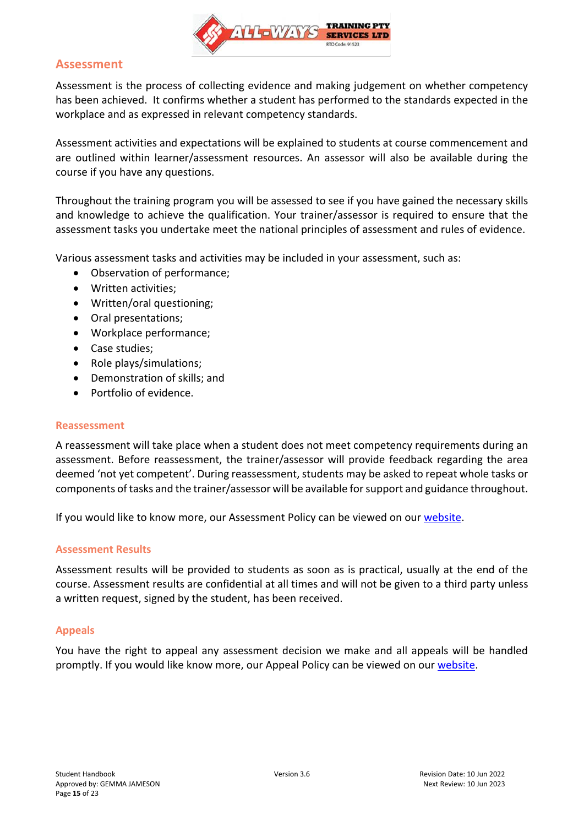

### <span id="page-14-0"></span>**Assessment**

Assessment is the process of collecting evidence and making judgement on whether competency has been achieved. It confirms whether a student has performed to the standards expected in the workplace and as expressed in relevant competency standards.

Assessment activities and expectations will be explained to students at course commencement and are outlined within learner/assessment resources. An assessor will also be available during the course if you have any questions.

Throughout the training program you will be assessed to see if you have gained the necessary skills and knowledge to achieve the qualification. Your trainer/assessor is required to ensure that the assessment tasks you undertake meet the national principles of assessment and rules of evidence.

Various assessment tasks and activities may be included in your assessment, such as:

- Observation of performance;
- Written activities;
- Written/oral questioning;
- Oral presentations;
- Workplace performance;
- Case studies;
- Role plays/simulations;
- Demonstration of skills; and
- Portfolio of evidence.

#### <span id="page-14-1"></span>**Reassessment**

A reassessment will take place when a student does not meet competency requirements during an assessment. Before reassessment, the trainer/assessor will provide feedback regarding the area deemed 'not yet competent'. During reassessment, students may be asked to repeat whole tasks or components of tasks and the trainer/assessor will be available for support and guidance throughout.

<span id="page-14-2"></span>If you would like to know more, our Assessment Policy can be viewed on our [website.](https://www.all-waystraining.com.au/student-info/)

#### **Assessment Results**

Assessment results will be provided to students as soon as is practical, usually at the end of the course. Assessment results are confidential at all times and will not be given to a third party unless a written request, signed by the student, has been received.

### <span id="page-14-3"></span>**Appeals**

You have the right to appeal any assessment decision we make and all appeals will be handled promptly. If you would like know more, our Appeal Policy can be viewed on our [website.](https://www.all-waystraining.com.au/student-info/)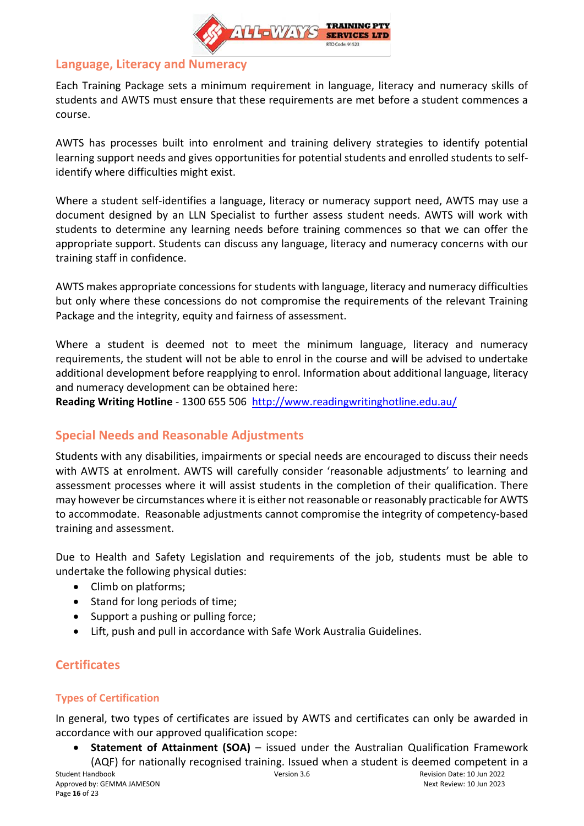

### <span id="page-15-0"></span>**Language, Literacy and Numeracy**

Each Training Package sets a minimum requirement in language, literacy and numeracy skills of students and AWTS must ensure that these requirements are met before a student commences a course.

AWTS has processes built into enrolment and training delivery strategies to identify potential learning support needs and gives opportunities for potential students and enrolled students to selfidentify where difficulties might exist.

Where a student self-identifies a language, literacy or numeracy support need, AWTS may use a document designed by an LLN Specialist to further assess student needs. AWTS will work with students to determine any learning needs before training commences so that we can offer the appropriate support. Students can discuss any language, literacy and numeracy concerns with our training staff in confidence.

AWTS makes appropriate concessions for students with language, literacy and numeracy difficulties but only where these concessions do not compromise the requirements of the relevant Training Package and the integrity, equity and fairness of assessment.

Where a student is deemed not to meet the minimum language, literacy and numeracy requirements, the student will not be able to enrol in the course and will be advised to undertake additional development before reapplying to enrol. Information about additional language, literacy and numeracy development can be obtained here:

<span id="page-15-1"></span>**Reading Writing Hotline** - 1300 655 506 <http://www.readingwritinghotline.edu.au/>

### **Special Needs and Reasonable Adjustments**

Students with any disabilities, impairments or special needs are encouraged to discuss their needs with AWTS at enrolment. AWTS will carefully consider 'reasonable adjustments' to learning and assessment processes where it will assist students in the completion of their qualification. There may however be circumstances where it is either not reasonable or reasonably practicable for AWTS to accommodate. Reasonable adjustments cannot compromise the integrity of competency-based training and assessment.

Due to Health and Safety Legislation and requirements of the job, students must be able to undertake the following physical duties:

- Climb on platforms;
- Stand for long periods of time;
- Support a pushing or pulling force;
- Lift, push and pull in accordance with Safe Work Australia Guidelines.

## <span id="page-15-2"></span>**Certificates**

### <span id="page-15-3"></span>**Types of Certification**

In general, two types of certificates are issued by AWTS and certificates can only be awarded in accordance with our approved qualification scope:

• **Statement of Attainment (SOA)** – issued under the Australian Qualification Framework (AQF) for nationally recognised training. Issued when a student is deemed competent in a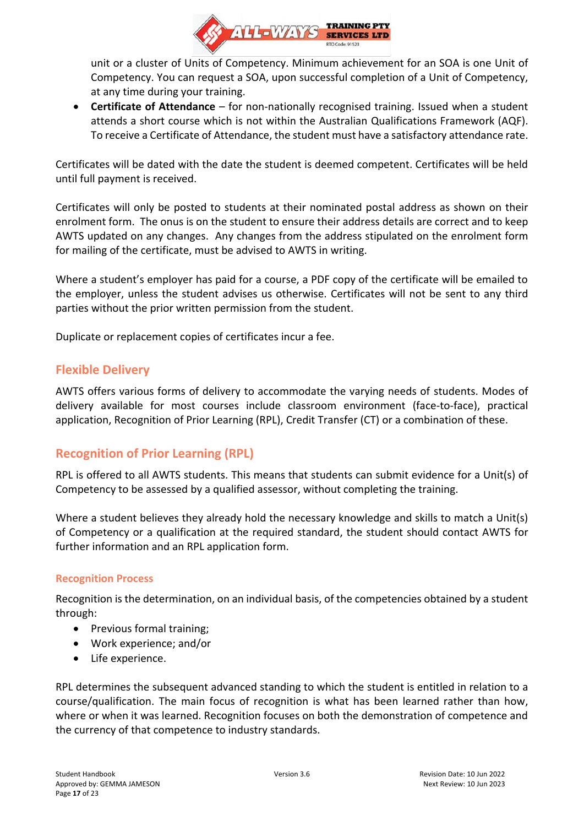

unit or a cluster of Units of Competency. Minimum achievement for an SOA is one Unit of Competency. You can request a SOA, upon successful completion of a Unit of Competency, at any time during your training.

• **Certificate of Attendance** – for non-nationally recognised training. Issued when a student attends a short course which is not within the Australian Qualifications Framework (AQF). To receive a Certificate of Attendance, the student must have a satisfactory attendance rate.

Certificates will be dated with the date the student is deemed competent. Certificates will be held until full payment is received.

Certificates will only be posted to students at their nominated postal address as shown on their enrolment form. The onus is on the student to ensure their address details are correct and to keep AWTS updated on any changes. Any changes from the address stipulated on the enrolment form for mailing of the certificate, must be advised to AWTS in writing.

Where a student's employer has paid for a course, a PDF copy of the certificate will be emailed to the employer, unless the student advises us otherwise. Certificates will not be sent to any third parties without the prior written permission from the student.

<span id="page-16-0"></span>Duplicate or replacement copies of certificates incur a fee.

### **Flexible Delivery**

AWTS offers various forms of delivery to accommodate the varying needs of students. Modes of delivery available for most courses include classroom environment (face-to-face), practical application, Recognition of Prior Learning (RPL), Credit Transfer (CT) or a combination of these.

### <span id="page-16-1"></span>**Recognition of Prior Learning (RPL)**

RPL is offered to all AWTS students. This means that students can submit evidence for a Unit(s) of Competency to be assessed by a qualified assessor, without completing the training.

Where a student believes they already hold the necessary knowledge and skills to match a Unit(s) of Competency or a qualification at the required standard, the student should contact AWTS for further information and an RPL application form.

### <span id="page-16-2"></span>**Recognition Process**

Recognition is the determination, on an individual basis, of the competencies obtained by a student through:

- Previous formal training;
- Work experience; and/or
- Life experience.

RPL determines the subsequent advanced standing to which the student is entitled in relation to a course/qualification. The main focus of recognition is what has been learned rather than how, where or when it was learned. Recognition focuses on both the demonstration of competence and the currency of that competence to industry standards.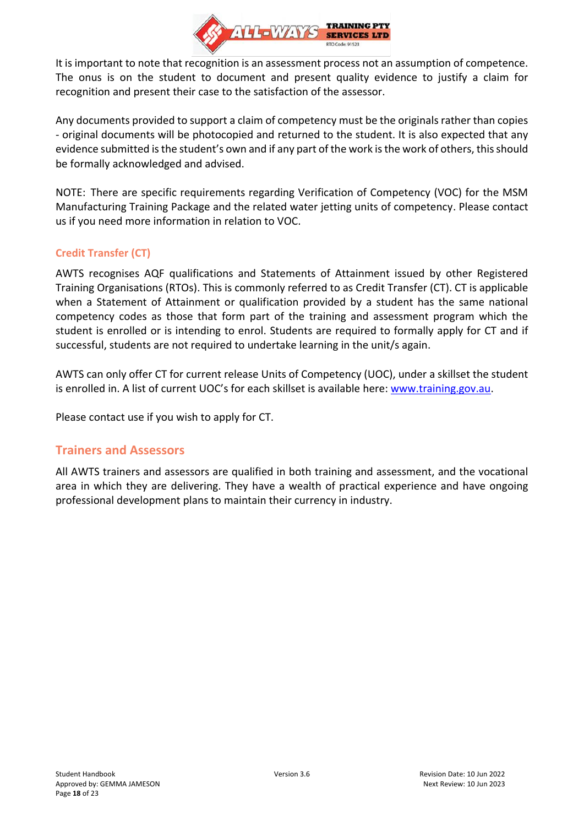

It is important to note that recognition is an assessment process not an assumption of competence. The onus is on the student to document and present quality evidence to justify a claim for recognition and present their case to the satisfaction of the assessor.

Any documents provided to support a claim of competency must be the originals rather than copies - original documents will be photocopied and returned to the student. It is also expected that any evidence submitted is the student's own and if any part of the work is the work of others, this should be formally acknowledged and advised.

NOTE: There are specific requirements regarding Verification of Competency (VOC) for the MSM Manufacturing Training Package and the related water jetting units of competency. Please contact us if you need more information in relation to VOC.

### <span id="page-17-0"></span>**Credit Transfer (CT)**

AWTS recognises AQF qualifications and Statements of Attainment issued by other Registered Training Organisations (RTOs). This is commonly referred to as Credit Transfer (CT). CT is applicable when a Statement of Attainment or qualification provided by a student has the same national competency codes as those that form part of the training and assessment program which the student is enrolled or is intending to enrol. Students are required to formally apply for CT and if successful, students are not required to undertake learning in the unit/s again.

AWTS can only offer CT for current release Units of Competency (UOC), under a skillset the student is enrolled in. A list of current UOC's for each skillset is available here: [www.training.gov.au.](http://www.training.gov.au/)

<span id="page-17-1"></span>Please contact use if you wish to apply for CT.

### **Trainers and Assessors**

All AWTS trainers and assessors are qualified in both training and assessment, and the vocational area in which they are delivering. They have a wealth of practical experience and have ongoing professional development plans to maintain their currency in industry.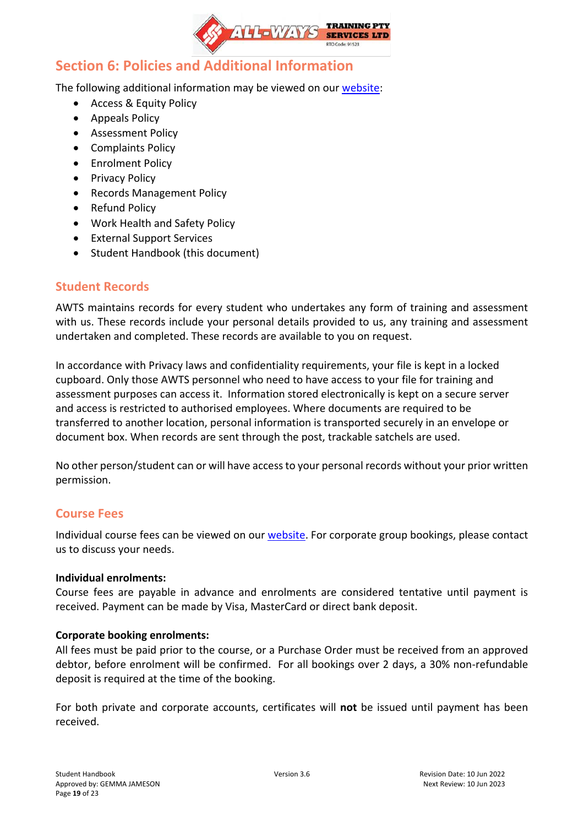

## <span id="page-18-0"></span>**Section 6: Policies and Additional Information**

The following additional information may be viewed on our [website:](https://www.all-waystraining.com.au/student-info/)

- Access & Equity Policy
- Appeals Policy
- Assessment Policy
- Complaints Policy
- Enrolment Policy
- Privacy Policy
- Records Management Policy
- Refund Policy
- Work Health and Safety Policy
- External Support Services
- Student Handbook (this document)

### <span id="page-18-1"></span>**Student Records**

AWTS maintains records for every student who undertakes any form of training and assessment with us. These records include your personal details provided to us, any training and assessment undertaken and completed. These records are available to you on request.

In accordance with Privacy laws and confidentiality requirements, your file is kept in a locked cupboard. Only those AWTS personnel who need to have access to your file for training and assessment purposes can access it. Information stored electronically is kept on a secure server and access is restricted to authorised employees. Where documents are required to be transferred to another location, personal information is transported securely in an envelope or document box. When records are sent through the post, trackable satchels are used.

No other person/student can or will have access to your personal records without your prior written permission.

### <span id="page-18-2"></span>**Course Fees**

Individual course fees can be viewed on our [website.](https://www.all-waystraining.com.au/calendar/) For corporate group bookings, please contact us to discuss your needs.

### **Individual enrolments:**

Course fees are payable in advance and enrolments are considered tentative until payment is received. Payment can be made by Visa, MasterCard or direct bank deposit.

### **Corporate booking enrolments:**

All fees must be paid prior to the course, or a Purchase Order must be received from an approved debtor, before enrolment will be confirmed. For all bookings over 2 days, a 30% non-refundable deposit is required at the time of the booking.

For both private and corporate accounts, certificates will **not** be issued until payment has been received.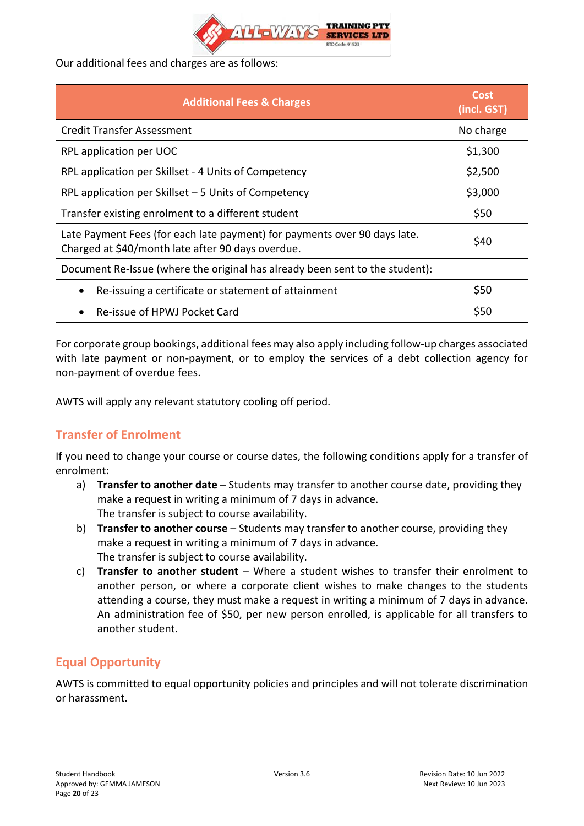

Our additional fees and charges are as follows:

| <b>Additional Fees &amp; Charges</b>                                                                                           | Cost<br>(incl. GST) |  |
|--------------------------------------------------------------------------------------------------------------------------------|---------------------|--|
| <b>Credit Transfer Assessment</b>                                                                                              | No charge           |  |
| RPL application per UOC                                                                                                        | \$1,300             |  |
| RPL application per Skillset - 4 Units of Competency                                                                           | \$2,500             |  |
| RPL application per Skillset - 5 Units of Competency                                                                           | \$3,000             |  |
| Transfer existing enrolment to a different student                                                                             | \$50                |  |
| Late Payment Fees (for each late payment) for payments over 90 days late.<br>Charged at \$40/month late after 90 days overdue. | \$40                |  |
| Document Re-Issue (where the original has already been sent to the student):                                                   |                     |  |
| Re-issuing a certificate or statement of attainment                                                                            | \$50                |  |
| Re-issue of HPWJ Pocket Card                                                                                                   | \$50                |  |

For corporate group bookings, additional fees may also apply including follow-up charges associated with late payment or non-payment, or to employ the services of a debt collection agency for non-payment of overdue fees.

<span id="page-19-0"></span>AWTS will apply any relevant statutory cooling off period.

## **Transfer of Enrolment**

If you need to change your course or course dates, the following conditions apply for a transfer of enrolment:

- a) **Transfer to another date** Students may transfer to another course date, providing they make a request in writing a minimum of 7 days in advance. The transfer is subject to course availability.
- b) **Transfer to another course** Students may transfer to another course, providing they make a request in writing a minimum of 7 days in advance. The transfer is subject to course availability.
- c) **Transfer to another student** Where a student wishes to transfer their enrolment to another person, or where a corporate client wishes to make changes to the students attending a course, they must make a request in writing a minimum of 7 days in advance. An administration fee of \$50, per new person enrolled, is applicable for all transfers to another student.

### <span id="page-19-1"></span>**Equal Opportunity**

AWTS is committed to equal opportunity policies and principles and will not tolerate discrimination or harassment.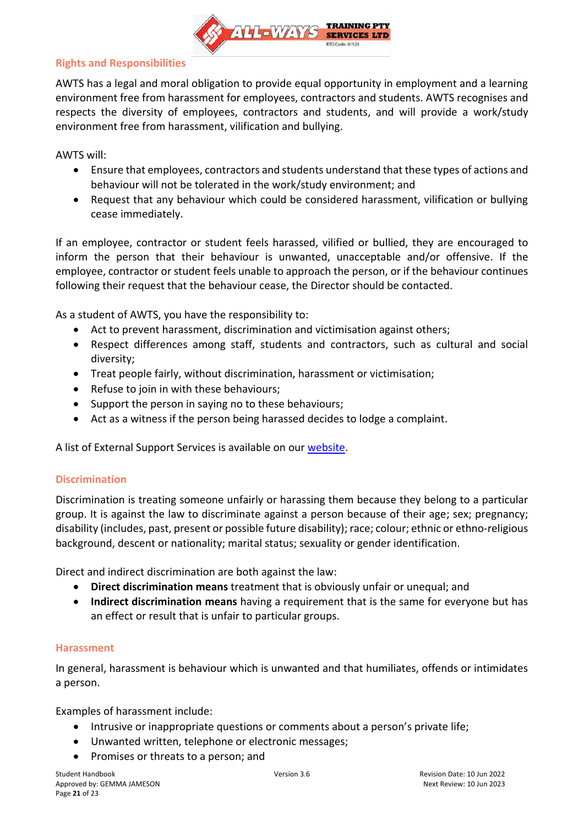

### <span id="page-20-0"></span>**Rights and Responsibilities**

AWTS has a legal and moral obligation to provide equal opportunity in employment and a learning environment free from harassment for employees, contractors and students. AWTS recognises and respects the diversity of employees, contractors and students, and will provide a work/study environment free from harassment, vilification and bullying.

AWTS will:

- Ensure that employees, contractors and students understand that these types of actions and behaviour will not be tolerated in the work/study environment; and
- Request that any behaviour which could be considered harassment, vilification or bullying cease immediately.

If an employee, contractor or student feels harassed, vilified or bullied, they are encouraged to inform the person that their behaviour is unwanted, unacceptable and/or offensive. If the employee, contractor or student feels unable to approach the person, or if the behaviour continues following their request that the behaviour cease, the Director should be contacted.

As a student of AWTS, you have the responsibility to:

- Act to prevent harassment, discrimination and victimisation against others;
- Respect differences among staff, students and contractors, such as cultural and social diversity;
- Treat people fairly, without discrimination, harassment or victimisation;
- Refuse to join in with these behaviours;
- Support the person in saying no to these behaviours;
- Act as a witness if the person being harassed decides to lodge a complaint.

<span id="page-20-1"></span>A list of External Support Services is available on our [website.](https://www.all-waystraining.com.au/student-info/)

### **Discrimination**

Discrimination is treating someone unfairly or harassing them because they belong to a particular group. It is against the law to discriminate against a person because of their age; sex; pregnancy; disability (includes, past, present or possible future disability); race; colour; ethnic or ethno-religious background, descent or nationality; marital status; sexuality or gender identification.

Direct and indirect discrimination are both against the law:

- **Direct discrimination means** treatment that is obviously unfair or unequal; and
- **Indirect discrimination means** having a requirement that is the same for everyone but has an effect or result that is unfair to particular groups.

### <span id="page-20-2"></span>**Harassment**

In general, harassment is behaviour which is unwanted and that humiliates, offends or intimidates a person.

Examples of harassment include:

- Intrusive or inappropriate questions or comments about a person's private life;
- Unwanted written, telephone or electronic messages;
- Promises or threats to a person; and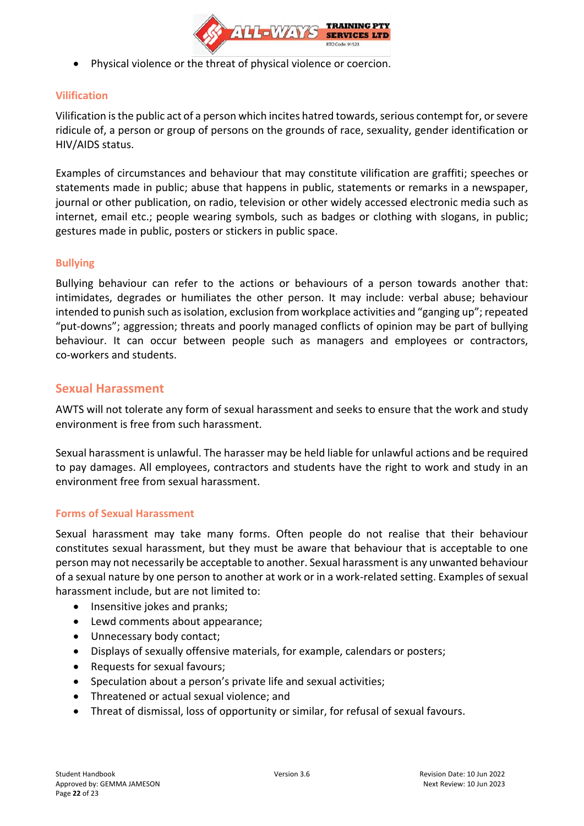

• Physical violence or the threat of physical violence or coercion.

### <span id="page-21-0"></span>**Vilification**

Vilification is the public act of a person which incites hatred towards, serious contempt for, or severe ridicule of, a person or group of persons on the grounds of race, sexuality, gender identification or HIV/AIDS status.

Examples of circumstances and behaviour that may constitute vilification are graffiti; speeches or statements made in public; abuse that happens in public, statements or remarks in a newspaper, journal or other publication, on radio, television or other widely accessed electronic media such as internet, email etc.; people wearing symbols, such as badges or clothing with slogans, in public; gestures made in public, posters or stickers in public space.

### <span id="page-21-1"></span>**Bullying**

Bullying behaviour can refer to the actions or behaviours of a person towards another that: intimidates, degrades or humiliates the other person. It may include: verbal abuse; behaviour intended to punish such as isolation, exclusion from workplace activities and "ganging up"; repeated "put-downs"; aggression; threats and poorly managed conflicts of opinion may be part of bullying behaviour. It can occur between people such as managers and employees or contractors, co-workers and students.

### <span id="page-21-2"></span>**Sexual Harassment**

AWTS will not tolerate any form of sexual harassment and seeks to ensure that the work and study environment is free from such harassment.

Sexual harassment is unlawful. The harasser may be held liable for unlawful actions and be required to pay damages. All employees, contractors and students have the right to work and study in an environment free from sexual harassment.

### <span id="page-21-3"></span>**Forms of Sexual Harassment**

Sexual harassment may take many forms. Often people do not realise that their behaviour constitutes sexual harassment, but they must be aware that behaviour that is acceptable to one person may not necessarily be acceptable to another. Sexual harassment is any unwanted behaviour of a sexual nature by one person to another at work or in a work-related setting. Examples of sexual harassment include, but are not limited to:

- Insensitive jokes and pranks;
- Lewd comments about appearance;
- Unnecessary body contact;
- Displays of sexually offensive materials, for example, calendars or posters;
- Requests for sexual favours;
- Speculation about a person's private life and sexual activities;
- Threatened or actual sexual violence; and
- Threat of dismissal, loss of opportunity or similar, for refusal of sexual favours.